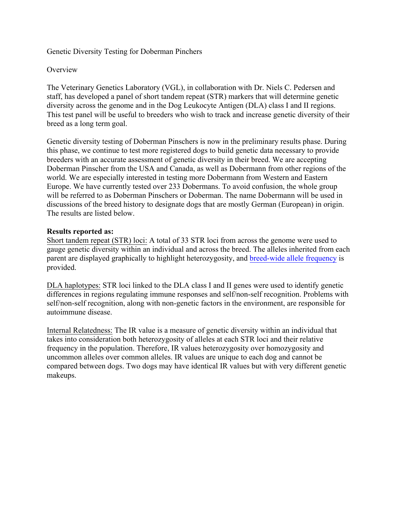Genetic Diversity Testing for Doberman Pinchers

#### **Overview**

The Veterinary Genetics Laboratory (VGL), in collaboration with Dr. Niels C. Pedersen and staff, has developed a panel of short tandem repeat (STR) markers that will determine genetic diversity across the genome and in the Dog Leukocyte Antigen (DLA) class I and II regions. This test panel will be useful to breeders who wish to track and increase genetic diversity of their breed as a long term goal.

Genetic diversity testing of Doberman Pinschers is now in the preliminary results phase. During this phase, we continue to test more registered dogs to build genetic data necessary to provide breeders with an accurate assessment of genetic diversity in their breed. We are accepting Doberman Pinscher from the USA and Canada, as well as Dobermann from other regions of the world. We are especially interested in testing more Dobermann from Western and Eastern Europe. We have currently tested over 233 Dobermans. To avoid confusion, the whole group will be referred to as Doberman Pinschers or Doberman. The name Dobermann will be used in discussions of the breed history to designate dogs that are mostly German (European) in origin. The results are listed below.

#### **Results reported as:**

Short tandem repeat (STR) loci: A total of 33 STR loci from across the genome were used to gauge genetic diversity within an individual and across the breed. The alleles inherited from each [parent are displayed gra](https://www.vgl.ucdavis.edu/myvgl/dogsporder.html)phically to highlight heterozygosity, an[d breed-wide allele frequency](https://www.vgl.ucdavis.edu/services/dog/GeneticDiversityInDobermanSTRInfo.php) is provided.

DLA haplotypes: STR loci linked to the DLA class I and II genes were used to identify genetic differences in regions regulating immune responses and self/non-self recognition. Problems with self/non-self recognition, along with non-genetic factors in the environment, are responsible for autoimmune disease.

Internal Relatedness: The IR value is a measure of genetic diversity within an individual that takes into consideration both heterozygosity of alleles at each STR loci and their relative frequency in the population. Therefore, IR values heterozygosity over homozygosity and uncommon alleles over common alleles. IR values are unique to each dog and cannot be compared between dogs. Two dogs may have identical IR values but with very different genetic makeups.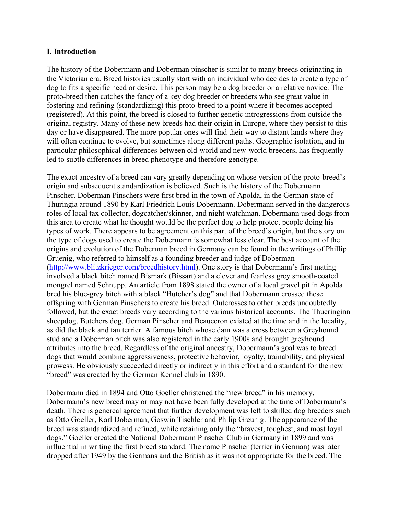#### **I. Introduction**

The history of the Dobermann and Doberman pinscher is similar to many breeds originating in the Victorian era. Breed histories usually start with an individual who decides to create a type of dog to fits a specific need or desire. This person may be a dog breeder or a relative novice. The proto-breed then catches the fancy of a key dog breeder or breeders who see great value in fostering and refining (standardizing) this proto-breed to a point where it becomes accepted (registered). At this point, the breed is closed to further genetic introgressions from outside the original registry. Many of these new breeds had their origin in Europe, where they persist to this day or have disappeared. The more popular ones will find their way to distant lands where they will often continue to evolve, but sometimes along different paths. Geographic isolation, and in particular philosophical differences between old-world and new-world breeders, has frequently led to subtle differences in breed phenotype and therefore genotype.

The exact ancestry of a breed can vary greatly depending on whose version of the proto-breed's origin and subsequent standardization is believed. Such is the history of the Dobermann Pinscher. Doberman Pinschers were first bred in the town of Apolda, in the German state of Thuringia around 1890 by Karl Friedrich Louis Dobermann. Dobermann served in the dangerous roles of local tax collector, dogcatcher/skinner, and night watchman. Dobermann used dogs from this area to create what he thought would be the perfect dog to help protect people doing his types of work. There appears to be agreement on this part of the breed's origin, but the story on the type of dogs used to create the Dobermann is somewhat less clear. The best account of the origins and evolution of the Doberman breed in Germany can be found in the writings of Phillip Gruenig, who referred to himself as a founding breeder and judge of Doberman [\(http://www.blitzkrieger.com/breedhistory.html\)](http://www.blitzkrieger.com/breedhistory.html). One story is that Dobermann's first mating involved a black bitch named Bismark (Bissart) and a clever and fearless grey smooth-coated mongrel named Schnupp. An article from 1898 stated the owner of a local gravel pit in Apolda bred his blue-grey bitch with a black "Butcher's dog" and that Dobermann crossed these offspring with German Pinschers to create his breed. Outcrosses to other breeds undoubtedly followed, but the exact breeds vary according to the various historical accounts. The Thueringinn sheepdog, Butchers dog, German Pinscher and Beauceron existed at the time and in the locality, as did the black and tan terrier. A famous bitch whose dam was a cross between a Greyhound stud and a Doberman bitch was also registered in the early 1900s and brought greyhound attributes into the breed. Regardless of the original ancestry, Dobermann's goal was to breed dogs that would combine aggressiveness, protective behavior, loyalty, trainability, and physical prowess. He obviously succeeded directly or indirectly in this effort and a standard for the new "breed" was created by the German Kennel club in 1890.

Dobermann died in 1894 and Otto Goeller christened the "new breed" in his memory. Dobermann's new breed may or may not have been fully developed at the time of Dobermann's death. There is genereal agreement that further development was left to skilled dog breeders such as Otto Goeller, Karl Doberman, Goswin Tischler and Philip Greunig. The appearance of the breed was standardized and refined, while retaining only the "bravest, toughest, and most loyal dogs." Goeller created the National Dobermann Pinscher Club in Germany in 1899 and was influential in writing the first breed standard. The name Pinscher (terrier in German) was later dropped after 1949 by the Germans and the British as it was not appropriate for the breed. The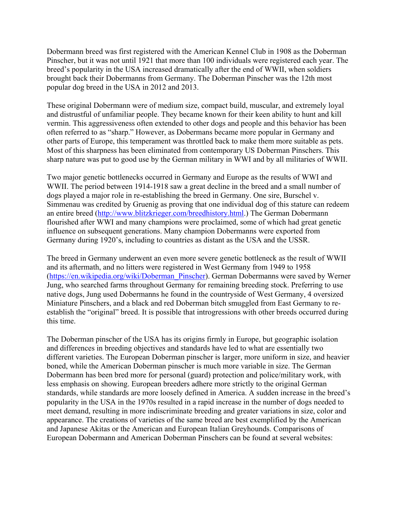Dobermann breed was first registered with the American Kennel Club in 1908 as the Doberman Pinscher, but it was not until 1921 that more than 100 individuals were registered each year. The breed's popularity in the USA increased dramatically after the end of WWII, when soldiers brought back their Dobermanns from Germany. The Doberman Pinscher was the 12th most popular dog breed in the USA in 2012 and 2013.

These original Dobermann were of medium size, compact build, muscular, and extremely loyal and distrustful of unfamiliar people. They became known for their keen ability to hunt and kill vermin. This aggressiveness often extended to other dogs and people and this behavior has been often referred to as "sharp." However, as Dobermans became more popular in Germany and other parts of Europe, this temperament was throttled back to make them more suitable as pets. Most of this sharpness has been eliminated from contemporary US Doberman Pinschers. This sharp nature was put to good use by the German military in WWI and by all militaries of WWII.

Two major genetic bottlenecks occurred in Germany and Europe as the results of WWI and WWII. The period between 1914-1918 saw a great decline in the breed and a small number of dogs played a major role in re-establishing the breed in Germany. One sire, Burschel v. Simmenau was credited by Gruenig as proving that one individual dog of this stature can redeem an entire breed [\(http://www.blitzkrieger.com/breedhistory.html.](http://www.blitzkrieger.com/breedhistory.html)) The German Dobermann flourished after WWI and many champions were proclaimed, some of which had great genetic influence on subsequent generations. Many champion Dobermanns were exported from Germany during 1920's, including to countries as distant as the USA and the USSR.

The breed in Germany underwent an even more severe genetic bottleneck as the result of WWII and its aftermath, and no litters were registered in West Germany from 1949 to 1958 [\(https://en.wikipedia.org/wiki/Doberman\\_Pinscher\)](https://en.wikipedia.org/wiki/Doberman_Pinscher). German Dobermanns were saved by Werner Jung, who searched farms throughout Germany for remaining breeding stock. Preferring to use native dogs, Jung used Dobermanns he found in the countryside of West Germany, 4 oversized Miniature Pinschers, and a black and red Doberman bitch smuggled from East Germany to reestablish the "original" breed. It is possible that introgressions with other breeds occurred during this time.

The Doberman pinscher of the USA has its origins firmly in Europe, but geographic isolation and differences in breeding objectives and standards have led to what are essentially two different varieties. The European Doberman pinscher is larger, more uniform in size, and heavier boned, while the American Doberman pinscher is much more variable in size. The German Dobermann has been bred more for personal (guard) protection and police/military work, with less emphasis on showing. European breeders adhere more strictly to the original German standards, while standards are more loosely defined in America. A sudden increase in the breed's popularity in the USA in the 1970s resulted in a rapid increase in the number of dogs needed to meet demand, resulting in more indiscriminate breeding and greater variations in size, color and appearance. The creations of varieties of the same breed are best exemplified by the American and Japanese Akitas or the American and European Italian Greyhounds. Comparisons of European Dobermann and American Doberman Pinschers can be found at several websites: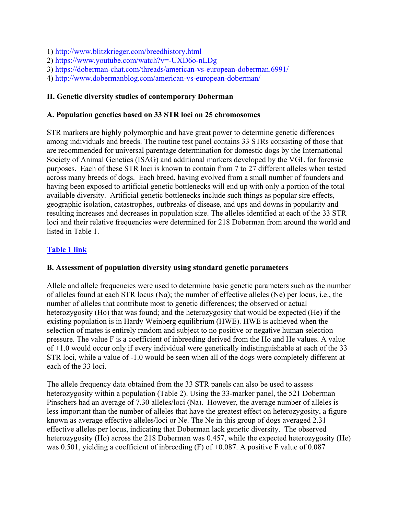1)<http://www.blitzkrieger.com/breedhistory.html>

- 2)<https://www.youtube.com/watch?v=-UXD6o-nLDg>
- 3)<https://doberman-chat.com/threads/american-vs-european-doberman.6991/>
- 4)<http://www.dobermanblog.com/american-vs-european-doberman/>

## **II. Genetic diversity studies of contemporary Doberman**

### **A. Population genetics based on 33 STR loci on 25 chromosomes**

STR markers are highly polymorphic and have great power to determine genetic differences among individuals and breeds. The routine test panel contains 33 STRs consisting of those that are recommended for universal parentage determination for domestic dogs by the International Society of Animal Genetics (ISAG) and additional markers developed by the VGL for forensic purposes. Each of these STR loci is known to contain from 7 to 27 different alleles when tested across many breeds of dogs. Each breed, having evolved from a small number of founders and having been exposed to artificial genetic bottlenecks will end up with only a portion of the total available diversity. Artificial genetic bottlenecks include such things as popular sire effects, geographic isolation, catastrophes, outbreaks of disease, and ups and downs in popularity and resulting increases and decreases in population size. The alleles identified at each of the 33 STR loci and their relative frequencies were determined for 218 Doberman from around the world and listed in Table 1.

# **Table 1 link**

# **B. Assessment of population diversity using standard genetic parameters**

Allele and allele frequencies were used to determine basic genetic parameters such as the number of alleles found at each STR locus (Na); the number of effective alleles (Ne) per locus, i.e., the number of alleles that contribute most to genetic differences; the observed or actual heterozygosity (Ho) that was found; and the heterozygosity that would be expected (He) if the existing population is in Hardy Weinberg equilibrium (HWE). HWE is achieved when the selection of mates is entirely random and subject to no positive or negative human selection pressure. The value F is a coefficient of inbreeding derived from the Ho and He values. A value of +1.0 would occur only if every individual were genetically indistinguishable at each of the 33 STR loci, while a value of -1.0 would be seen when all of the dogs were completely different at each of the 33 loci.

The allele frequency data obtained from the 33 STR panels can also be used to assess heterozygosity within a population (Table 2). Using the 33-marker panel, the 521 Doberman Pinschers had an average of 7.30 alleles/loci (Na). However, the average number of alleles is less important than the number of alleles that have the greatest effect on heterozygosity, a figure known as average effective alleles/loci or Ne. The Ne in this group of dogs averaged 2.31 effective alleles per locus, indicating that Doberman lack genetic diversity. The observed heterozygosity (Ho) across the 218 Doberman was 0.457, while the expected heterozygosity (He) was 0.501, yielding a coefficient of inbreeding (F) of +0.087. A positive F value of 0.087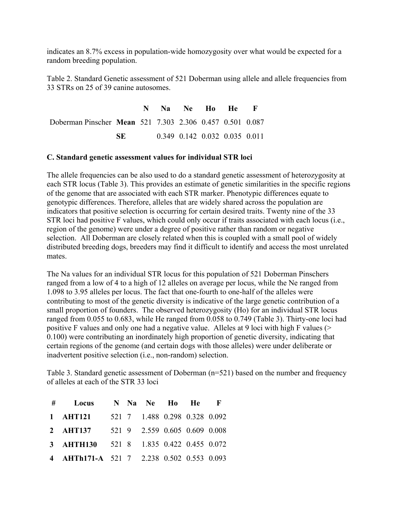indicates an 8.7% excess in population-wide homozygosity over what would be expected for a random breeding population.

Table 2. Standard Genetic assessment of 521 Doberman using allele and allele frequencies from 33 STRs on 25 of 39 canine autosomes.

|                                                          |     |  | N Na Ne Ho He F               |  |  |
|----------------------------------------------------------|-----|--|-------------------------------|--|--|
| Doberman Pinscher Mean 521 7.303 2.306 0.457 0.501 0.087 |     |  |                               |  |  |
|                                                          | SE. |  | 0.349 0.142 0.032 0.035 0.011 |  |  |

#### **C. Standard genetic assessment values for individual STR loci**

The allele frequencies can be also used to do a standard genetic assessment of heterozygosity at each STR locus (Table 3). This provides an estimate of genetic similarities in the specific regions of the genome that are associated with each STR marker. Phenotypic differences equate to genotypic differences. Therefore, alleles that are widely shared across the population are indicators that positive selection is occurring for certain desired traits. Twenty nine of the 33 STR loci had positive F values, which could only occur if traits associated with each locus (i.e., region of the genome) were under a degree of positive rather than random or negative selection. All Doberman are closely related when this is coupled with a small pool of widely distributed breeding dogs, breeders may find it difficult to identify and access the most unrelated mates.

The Na values for an individual STR locus for this population of 521 Doberman Pinschers ranged from a low of 4 to a high of 12 alleles on average per locus, while the Ne ranged from 1.098 to 3.95 alleles per locus. The fact that one-fourth to one-half of the alleles were contributing to most of the genetic diversity is indicative of the large genetic contribution of a small proportion of founders. The observed heterozygosity (Ho) for an individual STR locus ranged from 0.055 to 0.683, while He ranged from 0.058 to 0.749 (Table 3). Thirty-one loci had positive F values and only one had a negative value. Alleles at 9 loci with high F values (> 0.100) were contributing an inordinately high proportion of genetic diversity, indicating that certain regions of the genome (and certain dogs with those alleles) were under deliberate or inadvertent positive selection (i.e., non-random) selection.

Table 3. Standard genetic assessment of Doberman (n=521) based on the number and frequency of alleles at each of the STR 33 loci

| # Locus                                   |  | N Na Ne Ho He F               |  |  |
|-------------------------------------------|--|-------------------------------|--|--|
| 1 AHT121                                  |  | 521 7 1.488 0.298 0.328 0.092 |  |  |
| 2 AHT137                                  |  | 521 9 2.559 0.605 0.609 0.008 |  |  |
| 3 AHTH130 521 8 1.835 0.422 0.455 0.072   |  |                               |  |  |
| 4 AHTh171-A 521 7 2.238 0.502 0.553 0.093 |  |                               |  |  |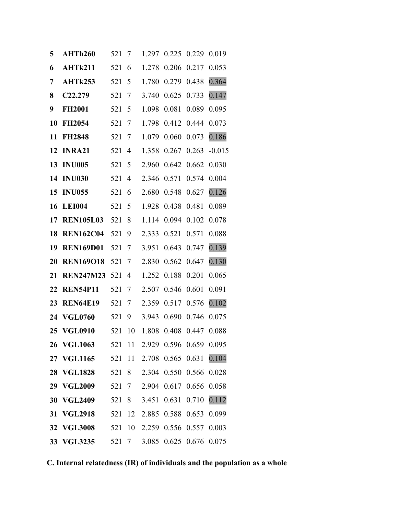| 5  | AHTh260              | 521   | 7              | 1.297 | 0.225             | 0.229       | 0.019    |
|----|----------------------|-------|----------------|-------|-------------------|-------------|----------|
| 6  | AHTk211              | 521   | 6              | 1.278 | 0.206             | 0.217       | 0.053    |
| 7  | AHTk253              | 521   | 5              | 1.780 | 0.279             | 0.438       | 0.364    |
| 8  | C <sub>22</sub> .279 | 521   | 7              | 3.740 | 0.625             | 0.733       | 0.147    |
| 9  | <b>FH2001</b>        | 521   | 5              | 1.098 | 0.081             | 0.089       | 0.095    |
| 10 | <b>FH2054</b>        | 521   | 7              | 1.798 | 0.412             | 0.444       | 0.073    |
| 11 | <b>FH2848</b>        | 521   | 7              | 1.079 | 0.060             | 0.073       | 0.186    |
| 12 | <b>INRA21</b>        | 521   | $\overline{4}$ | 1.358 | 0.267             | 0.263       | $-0.015$ |
| 13 | <b>INU005</b>        | 521   | 5              | 2.960 | 0.642             | 0.662       | 0.030    |
| 14 | <b>INU030</b>        | 521   | $\overline{4}$ | 2.346 | 0.571             | 0.574       | 0.004    |
| 15 | <b>INU055</b>        | 521   | 6              | 2.680 | 0.548             | 0.627       | 0.126    |
| 16 | <b>LEI004</b>        | 521   | 5              | 1.928 | 0.438             | 0.481       | 0.089    |
| 17 | <b>REN105L03</b>     | 521   | 8              | 1.114 | 0.094             | 0.102       | 0.078    |
| 18 | <b>REN162C04</b>     | 521   | 9              | 2.333 | 0.521             | 0.571       | 0.088    |
| 19 | <b>REN169D01</b>     | 521   | 7              | 3.951 | 0.643             | 0.747       | 0.139    |
| 20 | <b>REN169O18</b>     | 521   | 7              | 2.830 | 0.562             | 0.647       | 0.130    |
| 21 | <b>REN247M23</b>     | 521   | 4              | 1.252 | 0.188             | 0.201       | 0.065    |
| 22 | <b>REN54P11</b>      | 521   | 7              | 2.507 | 0.546             | 0.601       | 0.091    |
| 23 | <b>REN64E19</b>      | 521   | 7              | 2.359 | 0.517             | 0.576       | 0.102    |
| 24 | <b>VGL0760</b>       | 521   | 9              | 3.943 | 0.690             | 0.746       | 0.075    |
|    | 25 VGL0910           | 521   | 10             | 1.808 | 0.408             | 0.447       | 0.088    |
|    | 26 VGL1063           | 521   | -11            |       | 2.929 0.596 0.659 |             | 0.095    |
|    | 27 VGL1165           | 521   | 11             | 2.708 | 0.565             | 0.631       | 0.104    |
|    | 28 VGL1828           | 521   | 8              | 2.304 | 0.550             | 0.566       | 0.028    |
|    | 29 VGL2009           | 521 7 |                | 2.904 | 0.617 0.656       |             | 0.058    |
| 30 | <b>VGL2409</b>       | 521   | 8              | 3.451 | 0.631             | 0.710       | 0.112    |
| 31 | <b>VGL2918</b>       | 521   | 12             | 2.885 | 0.588             | 0.653       | 0.099    |
|    | 32 VGL3008           | 521   | 10             | 2.259 | 0.556             | 0.557       | 0.003    |
|    | 33 VGL3235           | 521 7 |                | 3.085 |                   | 0.625 0.676 | 0.075    |

**C. Internal relatedness (IR) of individuals and the population as a whole**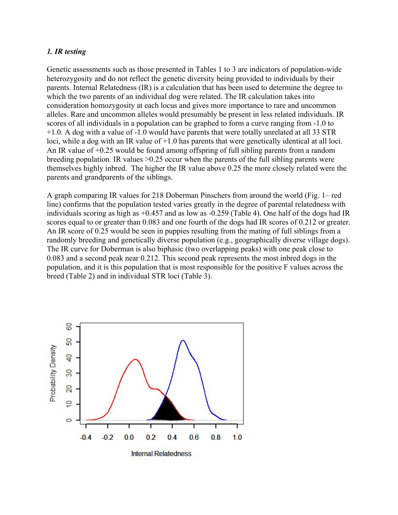#### *1. IR testing*

Genetic assessments such as those presented in Tables 1 to 3 are indicators of population-wide heterozygosity and do not reflect the genetic diversity being provided to individuals by their parents. Internal Relatedness (IR) is a calculation that has been used to determine the degree to which the two parents of an individual dog were related. The IR calculation takes into consideration homozygosity at each locus and gives more importance to rare and uncommon alleles. Rare and uncommon alleles would presumably be present in less related individuals. IR scores of all individuals in a population can be graphed to form a curve ranging from -1.0 to +1.0. A dog with a value of -1.0 would have parents that were totally unrelated at all 33 STR loci, while a dog with an IR value of  $+1.0$  has parents that were genetically identical at all loci. An IR value of +0.25 would be found among offspring of full sibling parents from a random breeding population. IR values >0.25 occur when the parents of the full sibling parents were themselves highly inbred. The higher the IR value above 0.25 the more closely related were the parents and grandparents of the siblings.

A graph comparing IR values for 218 Doberman Pinschers from around the world (Fig. 1– red line) confirms that the population tested varies greatly in the degree of parental relatedness with individuals scoring as high as +0.457 and as low as -0.259 (Table 4). One half of the dogs had IR scores equal to or greater than 0.083 and one fourth of the dogs had IR scores of 0.212 or greater. An IR score of 0.25 would be seen in puppies resulting from the mating of full siblings from a randomly breeding and genetically diverse population (e.g., geographically diverse village dogs). The IR curve for Doberman is also biphasic (two overlapping peaks) with one peak close to 0.083 and a second peak near 0.212. This second peak represents the most inbred dogs in the population, and it is this population that is most responsible for the positive F values across the breed (Table 2) and in individual STR loci (Table 3).

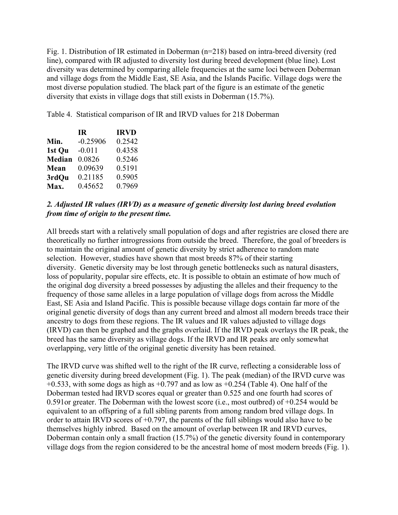Fig. 1. Distribution of IR estimated in Doberman (n=218) based on intra-breed diversity (red line), compared with IR adjusted to diversity lost during breed development (blue line). Lost diversity was determined by comparing allele frequencies at the same loci between Doberman and village dogs from the Middle East, SE Asia, and the Islands Pacific. Village dogs were the most diverse population studied. The black part of the figure is an estimate of the genetic diversity that exists in village dogs that still exists in Doberman (15.7%).

Table 4. Statistical comparison of IR and IRVD values for 218 Doberman

|               | TR.        | <b>IRVD</b> |
|---------------|------------|-------------|
| Min.          | $-0.25906$ | 0.2542      |
| 1st Ou        | $-0.011$   | 0.4358      |
| <b>Median</b> | 0.0826     | 0.5246      |
| Mean          | 0.09639    | 0.5191      |
| 3rdQu         | 0.21185    | 0.5905      |
| Max.          | 0.45652    | 0.7969      |

### *2. Adjusted IR values (IRVD) as a measure of genetic diversity lost during breed evolution from time of origin to the present time.*

All breeds start with a relatively small population of dogs and after registries are closed there are theoretically no further introgressions from outside the breed. Therefore, the goal of breeders is to maintain the original amount of genetic diversity by strict adherence to random mate selection. However, studies have shown that most breeds 87% of their starting diversity. Genetic diversity may be lost through genetic bottlenecks such as natural disasters, loss of popularity, popular sire effects, etc. It is possible to obtain an estimate of how much of the original dog diversity a breed possesses by adjusting the alleles and their frequency to the frequency of those same alleles in a large population of village dogs from across the Middle East, SE Asia and Island Pacific. This is possible because village dogs contain far more of the original genetic diversity of dogs than any current breed and almost all modern breeds trace their ancestry to dogs from these regions. The IR values and IR values adjusted to village dogs (IRVD) can then be graphed and the graphs overlaid. If the IRVD peak overlays the IR peak, the breed has the same diversity as village dogs. If the IRVD and IR peaks are only somewhat overlapping, very little of the original genetic diversity has been retained.

The IRVD curve was shifted well to the right of the IR curve, reflecting a considerable loss of genetic diversity during breed development (Fig. 1). The peak (median) of the IRVD curve was  $+0.533$ , with some dogs as high as  $+0.797$  and as low as  $+0.254$  (Table 4). One half of the Doberman tested had IRVD scores equal or greater than 0.525 and one fourth had scores of 0.591or greater. The Doberman with the lowest score (i.e., most outbred) of +0.254 would be equivalent to an offspring of a full sibling parents from among random bred village dogs. In order to attain IRVD scores of  $+0.797$ , the parents of the full siblings would also have to be themselves highly inbred. Based on the amount of overlap between IR and IRVD curves, Doberman contain only a small fraction (15.7%) of the genetic diversity found in contemporary village dogs from the region considered to be the ancestral home of most modern breeds (Fig. 1).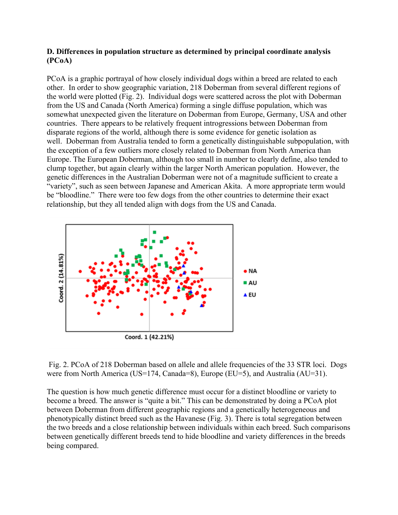### **D. Differences in population structure as determined by principal coordinate analysis (PCoA)**

PCoA is a graphic portrayal of how closely individual dogs within a breed are related to each other. In order to show geographic variation, 218 Doberman from several different regions of the world were plotted (Fig. 2). Individual dogs were scattered across the plot with Doberman from the US and Canada (North America) forming a single diffuse population, which was somewhat unexpected given the literature on Doberman from Europe, Germany, USA and other countries. There appears to be relatively frequent introgressions between Doberman from disparate regions of the world, although there is some evidence for genetic isolation as well. Doberman from Australia tended to form a genetically distinguishable subpopulation, with the exception of a few outliers more closely related to Doberman from North America than Europe. The European Doberman, although too small in number to clearly define, also tended to clump together, but again clearly within the larger North American population. However, the genetic differences in the Australian Doberman were not of a magnitude sufficient to create a "variety", such as seen between Japanese and American Akita. A more appropriate term would be "bloodline." There were too few dogs from the other countries to determine their exact relationship, but they all tended align with dogs from the US and Canada.



Fig. 2. PCoA of 218 Doberman based on allele and allele frequencies of the 33 STR loci. Dogs were from North America (US=174, Canada=8), Europe (EU=5), and Australia (AU=31).

The question is how much genetic difference must occur for a distinct bloodline or variety to become a breed. The answer is "quite a bit." This can be demonstrated by doing a PCoA plot between Doberman from different geographic regions and a genetically heterogeneous and phenotypically distinct breed such as the Havanese (Fig. 3). There is total segregation between the two breeds and a close relationship between individuals within each breed. Such comparisons between genetically different breeds tend to hide bloodline and variety differences in the breeds being compared.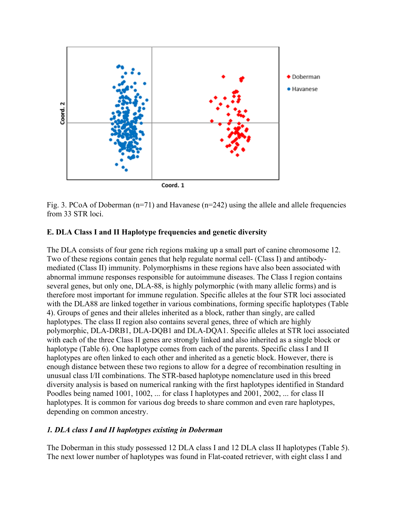

Fig. 3. PCoA of Doberman  $(n=71)$  and Havanese  $(n=242)$  using the allele and allele frequencies from 33 STR loci.

### **E. DLA Class I and II Haplotype frequencies and genetic diversity**

The DLA consists of four gene rich regions making up a small part of canine chromosome 12. Two of these regions contain genes that help regulate normal cell- (Class I) and antibodymediated (Class II) immunity. Polymorphisms in these regions have also been associated with abnormal immune responses responsible for autoimmune diseases. The Class I region contains several genes, but only one, DLA-88, is highly polymorphic (with many allelic forms) and is therefore most important for immune regulation. Specific alleles at the four STR loci associated with the DLA88 are linked together in various combinations, forming specific haplotypes (Table 4). Groups of genes and their alleles inherited as a block, rather than singly, are called haplotypes. The class II region also contains several genes, three of which are highly polymorphic, DLA-DRB1, DLA-DQB1 and DLA-DQA1. Specific alleles at STR loci associated with each of the three Class II genes are strongly linked and also inherited as a single block or haplotype (Table 6). One haplotype comes from each of the parents. Specific class I and II haplotypes are often linked to each other and inherited as a genetic block. However, there is enough distance between these two regions to allow for a degree of recombination resulting in unusual class I/II combinations. The STR-based haplotype nomenclature used in this breed diversity analysis is based on numerical ranking with the first haplotypes identified in Standard Poodles being named 1001, 1002, ... for class I haplotypes and 2001, 2002, ... for class II haplotypes. It is common for various dog breeds to share common and even rare haplotypes, depending on common ancestry.

#### *1. DLA class I and II haplotypes existing in Doberman*

The Doberman in this study possessed 12 DLA class I and 12 DLA class II haplotypes (Table 5). The next lower number of haplotypes was found in Flat-coated retriever, with eight class I and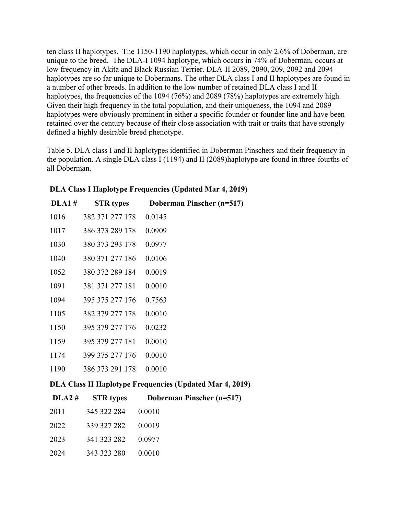ten class II haplotypes. The 1150-1190 haplotypes, which occur in only 2.6% of Doberman, are unique to the breed. The DLA-I 1094 haplotype, which occurs in 74% of Doberman, occurs at low frequency in Akita and Black Russian Terrier. DLA-II 2089, 2090, 209, 2092 and 2094 haplotypes are so far unique to Dobermans. The other DLA class I and II haplotypes are found in a number of other breeds. In addition to the low number of retained DLA class I and II haplotypes, the frequencies of the 1094 (76%) and 2089 (78%) haplotypes are extremely high. Given their high frequency in the total population, and their uniqueness, the 1094 and 2089 haplotypes were obviously prominent in either a specific founder or founder line and have been retained over the century because of their close association with trait or traits that have strongly defined a highly desirable breed phenotype.

Table 5. DLA class I and II haplotypes identified in Doberman Pinschers and their frequency in the population. A single DLA class I (1194) and II (2089)haplotype are found in three-fourths of all Doberman.

| <b>DLA1#</b> | <b>STR</b> types | Doberman Pinscher (n=517)                                       |
|--------------|------------------|-----------------------------------------------------------------|
| 1016         | 382 371 277 178  | 0.0145                                                          |
| 1017         | 386 373 289 178  | 0.0909                                                          |
| 1030         | 380 373 293 178  | 0.0977                                                          |
| 1040         | 380 371 277 186  | 0.0106                                                          |
| 1052         | 380 372 289 184  | 0.0019                                                          |
| 1091         | 381 371 277 181  | 0.0010                                                          |
| 1094         | 395 375 277 176  | 0.7563                                                          |
| 1105         | 382 379 277 178  | 0.0010                                                          |
| 1150         | 395 379 277 176  | 0.0232                                                          |
| 1159         | 395 379 277 181  | 0.0010                                                          |
| 1174         | 399 375 277 176  | 0.0010                                                          |
| 1190         | 386 373 291 178  | 0.0010                                                          |
|              |                  | <b>DLA Class II Haplotype Frequencies (Updated Mar 4, 2019)</b> |
| DLA2#        | <b>STR</b> types | Doberman Pinscher (n=517)                                       |

**DLA Class I Haplotype Frequencies (Updated Mar 4, 2019)**

|      | $DLA2 \#$ STR types | <b>Doberman Pinscher (n-</b> |
|------|---------------------|------------------------------|
| 2011 | 345 322 284 0.0010  |                              |
| 2022 | 339 327 282 0.0019  |                              |
| 2023 | 341 323 282 0.0977  |                              |
| 2024 | 343 323 280 0.0010  |                              |
|      |                     |                              |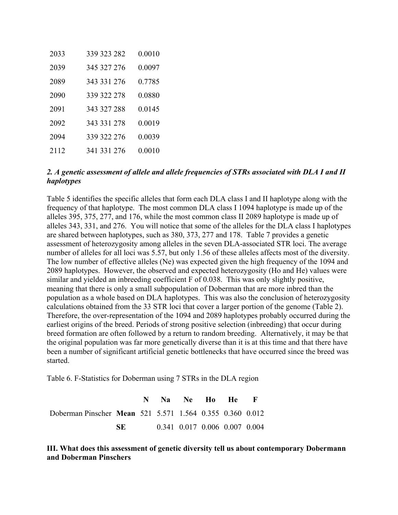| 2033 | 339 323 282 | 0.0010 |
|------|-------------|--------|
| 2039 | 345 327 276 | 0.0097 |
| 2089 | 343 331 276 | 0.7785 |
| 2090 | 339 322 278 | 0.0880 |
| 2091 | 343 327 288 | 0.0145 |
| 2092 | 343 331 278 | 0.0019 |
| 2094 | 339 322 276 | 0.0039 |
| 2112 | 341 331 276 | 0.0010 |

#### *2. A genetic assessment of allele and allele frequencies of STRs associated with DLA I and II haplotypes*

Table 5 identifies the specific alleles that form each DLA class I and II haplotype along with the frequency of that haplotype. The most common DLA class I 1094 haplotype is made up of the alleles 395, 375, 277, and 176, while the most common class II 2089 haplotype is made up of alleles 343, 331, and 276. You will notice that some of the alleles for the DLA class I haplotypes are shared between haplotypes, such as 380, 373, 277 and 178. Table 7 provides a genetic assessment of heterozygosity among alleles in the seven DLA-associated STR loci. The average number of alleles for all loci was 5.57, but only 1.56 of these alleles affects most of the diversity. The low number of effective alleles (Ne) was expected given the high frequency of the 1094 and 2089 haplotypes. However, the observed and expected heterozygosity (Ho and He) values were similar and yielded an inbreeding coefficient F of 0.038. This was only slightly positive, meaning that there is only a small subpopulation of Doberman that are more inbred than the population as a whole based on DLA haplotypes. This was also the conclusion of heterozygosity calculations obtained from the 33 STR loci that cover a larger portion of the genome (Table 2). Therefore, the over-representation of the 1094 and 2089 haplotypes probably occurred during the earliest origins of the breed. Periods of strong positive selection (inbreeding) that occur during breed formation are often followed by a return to random breeding. Alternatively, it may be that the original population was far more genetically diverse than it is at this time and that there have been a number of significant artificial genetic bottlenecks that have occurred since the breed was started.

Table 6. F-Statistics for Doberman using 7 STRs in the DLA region

|                                                          |     |  | N Na Ne Ho He F               |  |  |
|----------------------------------------------------------|-----|--|-------------------------------|--|--|
| Doberman Pinscher Mean 521 5.571 1.564 0.355 0.360 0.012 |     |  |                               |  |  |
|                                                          | SE. |  | 0.341 0.017 0.006 0.007 0.004 |  |  |

**III. What does this assessment of genetic diversity tell us about contemporary Dobermann and Doberman Pinschers**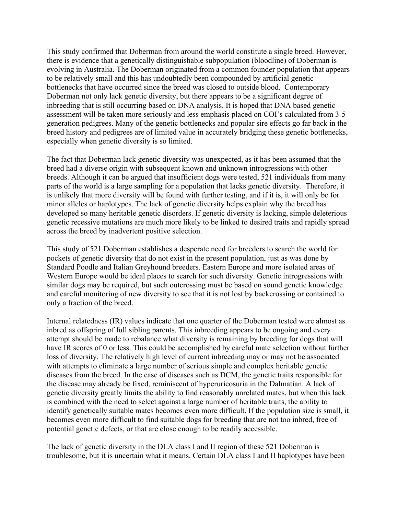This study confirmed that Doberman from around the world constitute a single breed. However, there is evidence that a genetically distinguishable subpopulation (bloodline) of Doberman is evolving in Australia. The Doberman originated from a common founder population that appears to be relatively small and this has undoubtedly been compounded by artificial genetic bottlenecks that have occurred since the breed was closed to outside blood. Contemporary Doberman not only lack genetic diversity, but there appears to be a significant degree of inbreeding that is still occurring based on DNA analysis. It is hoped that DNA based genetic assessment will be taken more seriously and less emphasis placed on COI's calculated from 3-5 generation pedigrees. Many of the genetic bottlenecks and popular sire effects go far back in the breed history and pedigrees are of limited value in accurately bridging these genetic bottlenecks, especially when genetic diversity is so limited.

The fact that Doberman lack genetic diversity was unexpected, as it has been assumed that the breed had a diverse origin with subsequent known and unknown introgressions with other breeds. Although it can be argued that insufficient dogs were tested, 521 individuals from many parts of the world is a large sampling for a population that lacks genetic diversity. Therefore, it is unlikely that more diversity will be found with further testing, and if it is, it will only be for minor alleles or haplotypes. The lack of genetic diversity helps explain why the breed has developed so many heritable genetic disorders. If genetic diversity is lacking, simple deleterious genetic recessive mutations are much more likely to be linked to desired traits and rapidly spread across the breed by inadvertent positive selection.

This study of 521 Doberman establishes a desperate need for breeders to search the world for pockets of genetic diversity that do not exist in the present population, just as was done by Standard Poodle and Italian Greyhound breeders. Eastern Europe and more isolated areas of Western Europe would be ideal places to search for such diversity. Genetic introgressions with similar dogs may be required, but such outcrossing must be based on sound genetic knowledge and careful monitoring of new diversity to see that it is not lost by backcrossing or contained to only a fraction of the breed.

Internal relatedness (IR) values indicate that one quarter of the Doberman tested were almost as inbred as offspring of full sibling parents. This inbreeding appears to be ongoing and every attempt should be made to rebalance what diversity is remaining by breeding for dogs that will have IR scores of 0 or less. This could be accomplished by careful mate selection without further loss of diversity. The relatively high level of current inbreeding may or may not be associated with attempts to eliminate a large number of serious simple and complex heritable genetic diseases from the breed. In the case of diseases such as DCM, the genetic traits responsible for the disease may already be fixed, reminiscent of hyperuricosuria in the Dalmatian. A lack of genetic diversity greatly limits the ability to find reasonably unrelated mates, but when this lack is combined with the need to select against a large number of heritable traits, the ability to identify genetically suitable mates becomes even more difficult. If the population size is small, it becomes even more difficult to find suitable dogs for breeding that are not too inbred, free of potential genetic defects, or that are close enough to be readily accessible.

The lack of genetic diversity in the DLA class I and II region of these 521 Doberman is troublesome, but it is uncertain what it means. Certain DLA class I and II haplotypes have been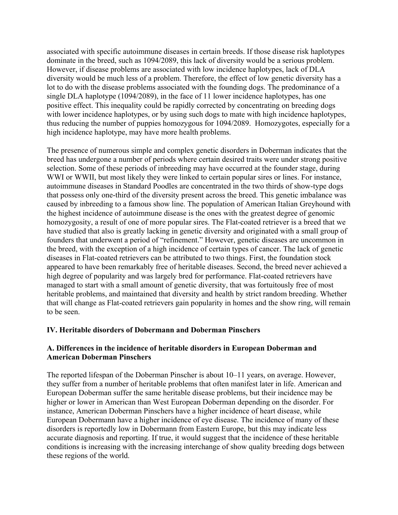associated with specific autoimmune diseases in certain breeds. If those disease risk haplotypes dominate in the breed, such as 1094/2089, this lack of diversity would be a serious problem. However, if disease problems are associated with low incidence haplotypes, lack of DLA diversity would be much less of a problem. Therefore, the effect of low genetic diversity has a lot to do with the disease problems associated with the founding dogs. The predominance of a single DLA haplotype (1094/2089), in the face of 11 lower incidence haplotypes, has one positive effect. This inequality could be rapidly corrected by concentrating on breeding dogs with lower incidence haplotypes, or by using such dogs to mate with high incidence haplotypes, thus reducing the number of puppies homozygous for 1094/2089. Homozygotes, especially for a high incidence haplotype, may have more health problems.

The presence of numerous simple and complex genetic disorders in Doberman indicates that the breed has undergone a number of periods where certain desired traits were under strong positive selection. Some of these periods of inbreeding may have occurred at the founder stage, during WWI or WWII, but most likely they were linked to certain popular sires or lines. For instance, autoimmune diseases in Standard Poodles are concentrated in the two thirds of show-type dogs that possess only one-third of the diversity present across the breed. This genetic imbalance was caused by inbreeding to a famous show line. The population of American Italian Greyhound with the highest incidence of autoimmune disease is the ones with the greatest degree of genomic homozygosity, a result of one of more popular sires. The Flat-coated retriever is a breed that we have studied that also is greatly lacking in genetic diversity and originated with a small group of founders that underwent a period of "refinement." However, genetic diseases are uncommon in the breed, with the exception of a high incidence of certain types of cancer. The lack of genetic diseases in Flat-coated retrievers can be attributed to two things. First, the foundation stock appeared to have been remarkably free of heritable diseases. Second, the breed never achieved a high degree of popularity and was largely bred for performance. Flat-coated retrievers have managed to start with a small amount of genetic diversity, that was fortuitously free of most heritable problems, and maintained that diversity and health by strict random breeding. Whether that will change as Flat-coated retrievers gain popularity in homes and the show ring, will remain to be seen.

#### **IV. Heritable disorders of Dobermann and Doberman Pinschers**

### **A. Differences in the incidence of heritable disorders in European Doberman and American Doberman Pinschers**

The reported lifespan of the Doberman Pinscher is about 10–11 years, on average. However, they suffer from a number of heritable problems that often manifest later in life. American and European Doberman suffer the same heritable disease problems, but their incidence may be higher or lower in American than West European Doberman depending on the disorder. For instance, American Doberman Pinschers have a higher incidence of heart disease, while European Dobermann have a higher incidence of eye disease. The incidence of many of these disorders is reportedly low in Dobermann from Eastern Europe, but this may indicate less accurate diagnosis and reporting. If true, it would suggest that the incidence of these heritable conditions is increasing with the increasing interchange of show quality breeding dogs between these regions of the world.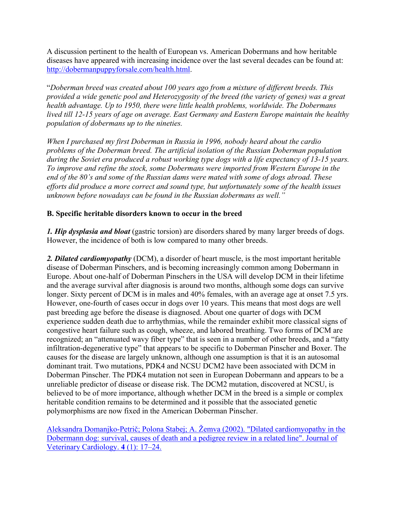A discussion pertinent to the health of European vs. American Dobermans and how heritable diseases have appeared with increasing incidence over the last several decades can be found at: [http://dobermanpuppyforsale.com/health.html.](http://dobermanpuppyforsale.com/health.html)

"*Doberman breed was created about 100 years ago from a mixture of different breeds. This provided a wide genetic pool and Heterozygosity of the breed (the variety of genes) was a great health advantage. Up to 1950, there were little health problems, worldwide. The Dobermans lived till 12-15 years of age on average. East Germany and Eastern Europe maintain the healthy population of dobermans up to the nineties.*

*When I purchased my first Doberman in Russia in 1996, nobody heard about the cardio problems of the Doberman breed. The artificial isolation of the Russian Doberman population during the Soviet era produced a robust working type dogs with a life expectancy of 13-15 years. To improve and refine the stock, some Dobermans were imported from Western Europe in the end of the 80's and some of the Russian dams were mated with some of dogs abroad. These efforts did produce a more correct and sound type, but unfortunately some of the health issues unknown before nowadays can be found in the Russian dobermans as well."*

### **B. Specific heritable disorders known to occur in the breed**

*1. Hip dysplasia and bloat* (gastric torsion) are disorders shared by many larger breeds of dogs. However, the incidence of both is low compared to many other breeds.

*2. Dilated cardiomyopathy* (DCM), a disorder of heart muscle, is the most important heritable disease of Doberman Pinschers, and is becoming increasingly common among Dobermann in Europe. About one-half of Doberman Pinschers in the USA will develop DCM in their lifetime and the average survival after diagnosis is around two months, although some dogs can survive longer. Sixty percent of DCM is in males and 40% females, with an average age at onset 7.5 yrs. However, one-fourth of cases occur in dogs over 10 years. This means that most dogs are well past breeding age before the disease is diagnosed. About one quarter of dogs with DCM experience sudden death due to arrhythmias, while the remainder exhibit more classical signs of congestive heart failure such as cough, wheeze, and labored breathing. Two forms of DCM are recognized; an "attenuated wavy fiber type" that is seen in a number of other breeds, and a "fatty infiltration-degenerative type" that appears to be specific to Doberman Pinscher and Boxer. The causes for the disease are largely unknown, although one assumption is that it is an autosomal dominant trait. Two mutations, PDK4 and NCSU DCM2 have been associated with DCM in Doberman Pinscher. The PDK4 mutation not seen in European Dobermann and appears to be a unreliable predictor of disease or disease risk. The DCM2 mutation, discovered at NCSU, is believed to be of more importance, although whether DCM in the breed is a simple or complex heritable condition remains to be determined and it possible that the associated genetic polymorphisms are now fixed in the American Doberman Pinscher.

Aleksandra Domanjko-Petrič; Polona Stabej; A. Ž[emva \(2002\). "Dilated cardiomyopathy in the](https://www.ncbi.nlm.nih.gov/pubmed/19081342)  [Dobermann dog: survival, causes of death and a pedigree review in a related line". Journal of](https://www.ncbi.nlm.nih.gov/pubmed/19081342)  [Veterinary Cardiology.](https://www.ncbi.nlm.nih.gov/pubmed/19081342) **4** (1): 17–24.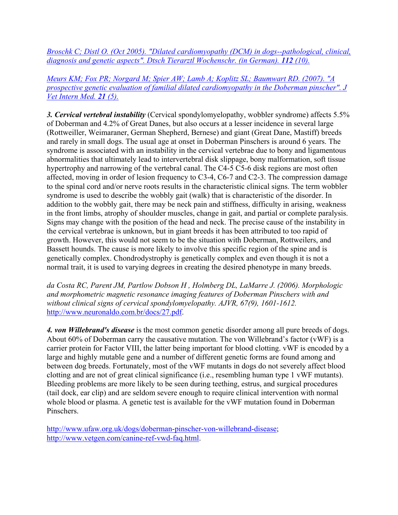*Broschk C; Distl [O. \(Oct 2005\). "Dilated cardiomyopathy \(DCM\) in dogs--pathological, clinical,](https://www.ncbi.nlm.nih.gov/pubmed/16320572)  [diagnosis and genetic aspects". Dtsch Tierarztl Wochenschr. \(in German\).](https://www.ncbi.nlm.nih.gov/pubmed/16320572) 112 (10).*

*[Meurs KM; Fox PR; Norgard M; Spier AW; Lamb A; Koplitz SL; Baumwart RD. \(2007\). "A](https://www.ncbi.nlm.nih.gov/pubmed/17939558)  [prospective genetic evaluation of familial dilated cardiomyopathy in the Doberman pinscher". J](https://www.ncbi.nlm.nih.gov/pubmed/17939558)  [Vet Intern Med.](https://www.ncbi.nlm.nih.gov/pubmed/17939558) 21 (5).*

*3. Cervical vertebral instability* (Cervical spondylomyelopathy, wobbler syndrome) affects 5.5% of Doberman and 4.2% of Great Danes, but also occurs at a lesser incidence in several large (Rottweiller, Weimaraner, German Shepherd, Bernese) and giant (Great Dane, Mastiff) breeds and rarely in small dogs. The usual age at onset in Doberman Pinschers is around 6 years. The syndrome is associated with an instability in the cervical vertebrae due to bony and ligamentous abnormalities that ultimately lead to intervertebral disk slippage, bony malformation, soft tissue hypertrophy and narrowing of the vertebral canal. The C4-5 C5-6 disk regions are most often affected, moving in order of lesion frequency to C3-4, C6-7 and C2-3. The compression damage to the spinal cord and/or nerve roots results in the characteristic clinical signs. The term wobbler syndrome is used to describe the wobbly gait (walk) that is characteristic of the disorder. In addition to the wobbly gait, there may be neck pain and stiffness, difficulty in arising, weakness in the front limbs, atrophy of shoulder muscles, change in gait, and partial or complete paralysis. Signs may change with the position of the head and neck. The precise cause of the instability in the cervical vertebrae is unknown, but in giant breeds it has been attributed to too rapid of growth. However, this would not seem to be the situation with Doberman, Rottweilers, and Bassett hounds. The cause is more likely to involve this specific region of the spine and is genetically complex. Chondrodystrophy is genetically complex and even though it is not a normal trait, it is used to varying degrees in creating the desired phenotype in many breeds.

*da Costa RC, Parent JM, Partlow Dobson H , Holmberg DL, LaMarre J. (2006). Morphologic and morphometric magnetic resonance imaging features of Doberman Pinschers with and without clinical signs of cervical spondylomyelopathy. AJVR, 67(9), 1601-1612.*  [http://www.neuronaldo.com.br/docs/27.pdf.](http://www.neuronaldo.com.br/docs/27.pdf)

*4. von Willebrand's disease* is the most common genetic disorder among all pure breeds of dogs. About 60% of Doberman carry the causative mutation. The von Willebrand's factor (vWF) is a carrier protein for Factor VIII, the latter being important for blood clotting. vWF is encoded by a large and highly mutable gene and a number of different genetic forms are found among and between dog breeds. Fortunately, most of the vWF mutants in dogs do not severely affect blood clotting and are not of great clinical significance (i.e., resembling human type 1 vWF mutants). Bleeding problems are more likely to be seen during teething, estrus, and surgical procedures (tail dock, ear clip) and are seldom severe enough to require clinical intervention with normal whole blood or plasma. A genetic test is available for the vWF mutation found in Doberman Pinschers.

[http://www.ufaw.org.uk/dogs/doberman-pinscher-von-willebrand-disease;](http://www.ufaw.org.uk/dogs/doberman-pinscher-von-willebrand-disease) [http://www.vetgen.com/canine-ref-vwd-faq.html.](http://www.vetgen.com/canine-ref-vwd-faq.html)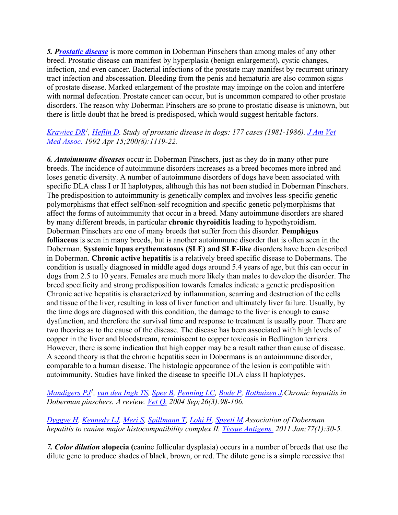*5. [Prostatic disease](https://en.wikipedia.org/wiki/Prostatic_disease)* is more common in Doberman Pinschers than among males of any other breed. Prostatic disease can manifest by hyperplasia (benign enlargement), cystic changes, infection, and even cancer. Bacterial infections of the prostate may manifest by recurrent urinary tract infection and abscessation. Bleeding from the penis and hematuria are also common signs of prostate disease. Marked enlargement of the prostate may impinge on the colon and interfere with normal defecation. Prostate cancer can occur, but is uncommon compared to other prostate disorders. The reason why Doberman Pinschers are so prone to prostatic disease is unknown, but there is little doubt that he breed is predisposed, which would suggest heritable factors.

### *[Krawiec DR1](https://www.ncbi.nlm.nih.gov/pubmed/?term=Krawiec%20DR%5BAuthor%5D&cauthor=true&cauthor_uid=1376729), [Heflin D.](https://www.ncbi.nlm.nih.gov/pubmed/?term=Heflin%20D%5BAuthor%5D&cauthor=true&cauthor_uid=1376729) Study of prostatic disease in dogs: 177 cases (1981-1986). [J Am Vet](https://www.ncbi.nlm.nih.gov/pubmed/1376729)  [Med Assoc.](https://www.ncbi.nlm.nih.gov/pubmed/1376729) 1992 Apr 15;200(8):1119-22.*

*6. Autoimmune diseases* occur in Doberman Pinschers, just as they do in many other pure breeds. The incidence of autoimmune disorders increases as a breed becomes more inbred and loses genetic diversity. A number of autoimmune disorders of dogs have been associated with specific DLA class I or II haplotypes, although this has not been studied in Doberman Pinschers. The predisposition to autoimmunity is genetically complex and involves less-specific genetic polymorphisms that effect self/non-self recognition and specific genetic polymorphisms that affect the forms of autoimmunity that occur in a breed. Many autoimmune disorders are shared by many different breeds, in particular **chronic thyroiditis** leading to hypothyroidism. Doberman Pinschers are one of many breeds that suffer from this disorder. **Pemphigus folliaceus** is seen in many breeds, but is another autoimmune disorder that is often seen in the Doberman. **Systemic lupus erythematosus (SLE) and SLE-like** disorders have been described in Doberman. **Chronic active hepatitis** is a relatively breed specific disease to Dobermans. The condition is usually diagnosed in middle aged dogs around 5.4 years of age, but this can occur in dogs from 2.5 to 10 years. Females are much more likely than males to develop the disorder. The breed specificity and strong predisposition towards females indicate a genetic predisposition Chronic active hepatitis is characterized by inflammation, scarring and destruction of the cells and tissue of the liver, resulting in loss of liver function and ultimately liver failure. Usually, by the time dogs are diagnosed with this condition, the damage to the liver is enough to cause dysfunction, and therefore the survival time and response to treatment is usually poor. There are two theories as to the cause of the disease. The disease has been associated with high levels of copper in the liver and bloodstream, reminiscent to copper toxicosis in Bedlington terriers. However, there is some indication that high copper may be a result rather than cause of disease. A second theory is that the chronic hepatitis seen in Dobermans is an autoimmune disorder, comparable to a human disease. The histologic appearance of the lesion is compatible with autoimmunity. Studies have linked the disease to specific DLA class II haplotypes.

*[Mandigers PJ1](https://www.ncbi.nlm.nih.gov/pubmed/?term=Mandigers%20PJ%5BAuthor%5D&cauthor=true&cauthor_uid=15559390) , [van den Ingh TS,](https://www.ncbi.nlm.nih.gov/pubmed/?term=van%20den%20Ingh%20TS%5BAuthor%5D&cauthor=true&cauthor_uid=15559390) [Spee B,](https://www.ncbi.nlm.nih.gov/pubmed/?term=Spee%20B%5BAuthor%5D&cauthor=true&cauthor_uid=15559390) [Penning LC,](https://www.ncbi.nlm.nih.gov/pubmed/?term=Penning%20LC%5BAuthor%5D&cauthor=true&cauthor_uid=15559390) [Bode P,](https://www.ncbi.nlm.nih.gov/pubmed/?term=Bode%20P%5BAuthor%5D&cauthor=true&cauthor_uid=15559390) [Rothuizen J.](https://www.ncbi.nlm.nih.gov/pubmed/?term=Rothuizen%20J%5BAuthor%5D&cauthor=true&cauthor_uid=15559390)Chronic hepatitis in Doberman pinschers. A review. [Vet Q.](https://www.ncbi.nlm.nih.gov/pubmed/15559390) 2004 Sep;26(3):98-106.* 

### *[Dyggve H,](https://www.ncbi.nlm.nih.gov/pubmed/?term=Dyggve%20H%5BAuthor%5D&cauthor=true&cauthor_uid=20946186) [Kennedy LJ,](https://www.ncbi.nlm.nih.gov/pubmed/?term=Kennedy%20LJ%5BAuthor%5D&cauthor=true&cauthor_uid=20946186) [Meri S,](https://www.ncbi.nlm.nih.gov/pubmed/?term=Meri%20S%5BAuthor%5D&cauthor=true&cauthor_uid=20946186) [Spillmann T,](https://www.ncbi.nlm.nih.gov/pubmed/?term=Spillmann%20T%5BAuthor%5D&cauthor=true&cauthor_uid=20946186) [Lohi H,](https://www.ncbi.nlm.nih.gov/pubmed/?term=Lohi%20H%5BAuthor%5D&cauthor=true&cauthor_uid=20946186) [Speeti M.](https://www.ncbi.nlm.nih.gov/pubmed/?term=Speeti%20M%5BAuthor%5D&cauthor=true&cauthor_uid=20946186)Association of Doberman hepatitis to canine major histocompatibility complex II. [Tissue Antigens.](https://www.ncbi.nlm.nih.gov/pubmed/20946186) 2011 Jan;77(1):30-5.*

*7. Color dilution* **alopecia (**canine follicular dysplasia) occurs in a number of breeds that use the dilute gene to produce shades of black, brown, or red. The dilute gene is a simple recessive that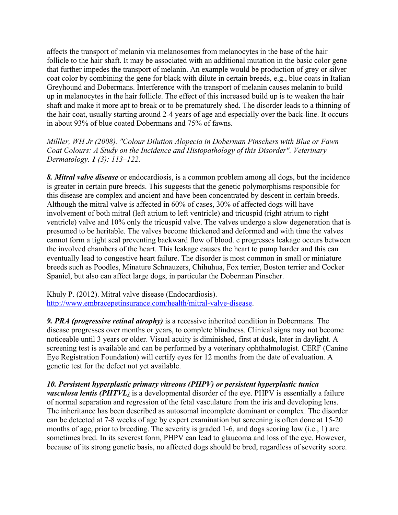affects the transport of melanin via melanosomes from melanocytes in the base of the hair follicle to the hair shaft. It may be associated with an additional mutation in the basic color gene that further impedes the transport of melanin. An example would be production of grey or silver coat color by combining the gene for black with dilute in certain breeds, e.g., blue coats in Italian Greyhound and Dobermans. Interference with the transport of melanin causes melanin to build up in melanocytes in the hair follicle. The effect of this increased build up is to weaken the hair shaft and make it more apt to break or to be prematurely shed. The disorder leads to a thinning of the hair coat, usually starting around 2-4 years of age and especially over the back-line. It occurs in about 93% of blue coated Dobermans and 75% of fawns.

*Milller, WH Jr (2008). "Colour Dilution Alopecia in Doberman Pinschers with Blue or Fawn Coat Colours: A Study on the Incidence and Histopathology of this Disorder". Veterinary Dermatology. 1 (3): 113–122.* 

*8. Mitral valve disease* or endocardiosis, is a common problem among all dogs, but the incidence is greater in certain pure breeds. This suggests that the genetic polymorphisms responsible for this disease are complex and ancient and have been concentrated by descent in certain breeds. Although the mitral valve is affected in 60% of cases, 30% of affected dogs will have involvement of both mitral (left atrium to left ventricle) and tricuspid (right atrium to right ventricle) valve and 10% only the tricuspid valve. The valves undergo a slow degeneration that is presumed to be heritable. The valves become thickened and deformed and with time the valves cannot form a tight seal preventing backward flow of blood. e progresses leakage occurs between the involved chambers of the heart. This leakage causes the heart to pump harder and this can eventually lead to congestive heart failure. The disorder is most common in small or miniature breeds such as Poodles, Minature Schnauzers, Chihuhua, Fox terrier, Boston terrier and Cocker Spaniel, but also can affect large dogs, in particular the Doberman Pinscher.

Khuly P. (2012). Mitral valve disease (Endocardiosis). [http://www.embracepetinsurance.com/health/mitral-valve-disease.](http://www.embracepetinsurance.com/health/mitral-valve-disease)

*9. PRA (progressive retinal atrophy)* is a recessive inherited condition in Dobermans. The disease progresses over months or years, to complete blindness. Clinical signs may not become noticeable until 3 years or older. Visual acuity is diminished, first at dusk, later in daylight. A screening test is available and can be performed by a veterinary ophthalmologist. CERF (Canine Eye Registration Foundation) will certify eyes for 12 months from the date of evaluation. A genetic test for the defect not yet available.

*10. Persistent hyperplastic primary vitreous (PHPV) or persistent hyperplastic tunica vasculosa lentis (PHTVL)* is a developmental disorder of the eye. PHPV is essentially a failure of normal separation and regression of the fetal vasculature from the iris and developing lens. The inheritance has been described as autosomal incomplete dominant or complex. The disorder can be detected at 7-8 weeks of age by expert examination but screening is often done at 15-20 months of age, prior to breeding. The severity is graded 1-6, and dogs scoring low (i.e., 1) are sometimes bred. In its severest form, PHPV can lead to glaucoma and loss of the eye. However, because of its strong genetic basis, no affected dogs should be bred, regardless of severity score.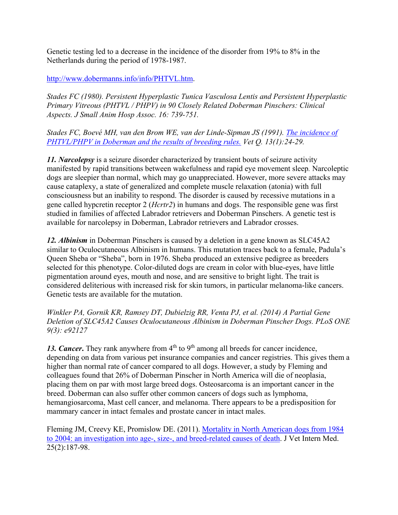Genetic testing led to a decrease in the incidence of the disorder from 19% to 8% in the Netherlands during the period of 1978-1987.

[http://www.dobermanns.info/info/PHTVL.htm.](http://www.dobermanns.info/info/PHTVL.htm)

*Stades FC (1980). Persistent Hyperplastic Tunica Vasculosa Lentis and Persistent Hyperplastic Primary Vitreous (PHTVL / PHPV) in 90 Closely Related Doberman Pinschers: Clinical Aspects. J Small Anim Hosp Assoc. 16: 739-751.* 

*Stades FC, Boevé MH, van den Brom WE, van der Linde-Sipman JS (1991). [The incidence of](https://www.ncbi.nlm.nih.gov/pubmed/2021051)  [PHTVL/PHPV in Doberman and the results of breeding rules.](https://www.ncbi.nlm.nih.gov/pubmed/2021051) Vet Q. 13(1):24-29.*

*11. Narcolepsy* is a seizure disorder characterized by transient bouts of seizure activity manifested by rapid transitions between wakefulness and rapid eye movement sleep*.* Narcoleptic dogs are sleepier than normal, which may go unappreciated. However, more severe attacks may cause cataplexy, a state of generalized and complete muscle relaxation (atonia) with full consciousness but an inability to respond. The disorder is caused by recessive mutations in a gene called hypcretin receptor 2 (*Hcrtr2*) in humans and dogs. The responsible gene was first studied in families of affected Labrador retrievers and Doberman Pinschers. A genetic test is available for narcolepsy in Doberman, Labrador retrievers and Labrador crosses.

*12. Albinism* in Doberman Pinschers is caused by a deletion in a gene known as SLC45A2 similar to Oculocutaneous Albinism in humans. This mutation traces back to a female, Padula's Queen Sheba or "Sheba", born in 1976. Sheba produced an extensive pedigree as breeders selected for this phenotype. Color-diluted dogs are cream in color with blue-eyes, have little pigmentation around eyes, mouth and nose, and are sensitive to bright light. The trait is considered deliterious with increased risk for skin tumors, in particular melanoma-like cancers. Genetic tests are available for the mutation.

*Winkler PA, Gornik KR, Ramsey DT, Dubielzig RR, Venta PJ, et al. (2014) A Partial Gene Deletion of SLC45A2 Causes Oculocutaneous Albinism in Doberman Pinscher Dogs. PLoS ONE 9(3): e92127*

13. *Cancer*. They rank anywhere from  $4<sup>th</sup>$  to  $9<sup>th</sup>$  among all breeds for cancer incidence, depending on data from various pet insurance companies and cancer registries. This gives them a higher than normal rate of cancer compared to all dogs. However, a study by Fleming and colleagues found that 26% of Doberman Pinscher in North America will die of neoplasia, placing them on par with most large breed dogs. Osteosarcoma is an important cancer in the breed. Doberman can also suffer other common cancers of dogs such as lymphoma, hemangiosarcoma, Mast cell cancer, and melanoma. There appears to be a predisposition for mammary cancer in intact females and prostate cancer in intact males.

Fleming JM, Creevy KE, Promislow DE. (2011). [Mortality in North American dogs from 1984](http://onlinelibrary.wiley.com/doi/10.1111/j.1939-1676.2011.0695.x/abstract)  [to 2004: an investigation into age-, size-, and breed-related causes of death.](http://onlinelibrary.wiley.com/doi/10.1111/j.1939-1676.2011.0695.x/abstract) J Vet Intern Med. 25(2):187-98.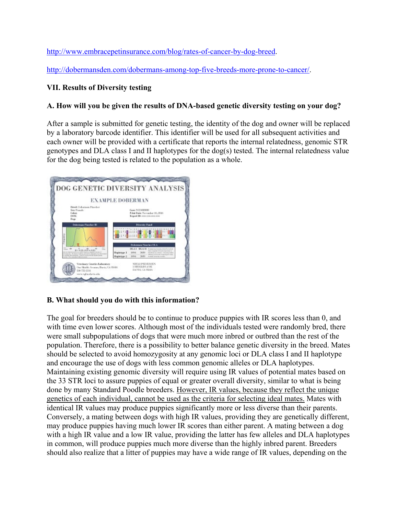[http://www.embracepetinsurance.com/blog/rates-of-cancer-by-dog-breed.](http://www.embracepetinsurance.com/blog/rates-of-cancer-by-dog-breed)

[http://dobermansden.com/dobermans-among-top-five-breeds-more-prone-to-cancer/.](http://dobermansden.com/dobermans-among-top-five-breeds-more-prone-to-cancer/)

# **VII. Results of Diversity testing**

## **A. How will you be given the results of DNA-based genetic diversity testing on your dog?**

After a sample is submitted for genetic testing, the identity of the dog and owner will be replaced by a laboratory barcode identifier. This identifier will be used for all subsequent activities and each owner will be provided with a certificate that reports the internal relatedness, genomic STR genotypes and DLA class I and II haplotypes for the dog(s) tested. The internal relatedness value for the dog being tested is related to the population as a whole.



### **B. What should you do with this information?**

The goal for breeders should be to continue to produce puppies with IR scores less than 0, and with time even lower scores. Although most of the individuals tested were randomly bred, there were small subpopulations of dogs that were much more inbred or outbred than the rest of the population. Therefore, there is a possibility to better balance genetic diversity in the breed. Mates should be selected to avoid homozygosity at any genomic loci or DLA class I and II haplotype and encourage the use of dogs with less common genomic alleles or DLA haplotypes. Maintaining existing genomic diversity will require using IR values of potential mates based on the 33 STR loci to assure puppies of equal or greater overall diversity, similar to what is being done by many Standard Poodle breeders. However, IR values, because they reflect the unique genetics of each individual, cannot be used as the criteria for selecting ideal mates. Mates with identical IR values may produce puppies significantly more or less diverse than their parents. Conversely, a mating between dogs with high IR values, providing they are genetically different, may produce puppies having much lower IR scores than either parent. A mating between a dog with a high IR value and a low IR value, providing the latter has few alleles and DLA haplotypes in common, will produce puppies much more diverse than the highly inbred parent. Breeders should also realize that a litter of puppies may have a wide range of IR values, depending on the